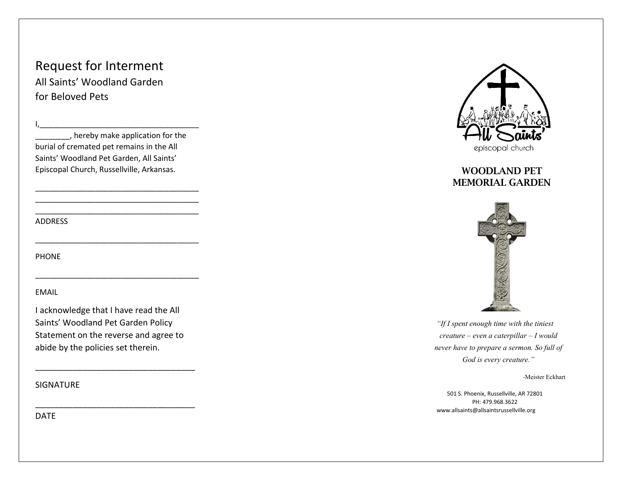## Request for Interment

All Saints' Woodland Garden for Beloved Pets

\_\_\_\_\_\_\_\_, hereby make application for the burial of cremated pet remains in the All Saints' Woodland Pet Garden, All Saints' Episcopal Church, Russellville, Arkansas.

I,\_\_\_\_\_\_\_\_\_\_\_\_\_\_\_\_\_\_\_\_\_\_\_\_\_\_\_\_\_\_\_\_\_\_\_\_\_

\_\_\_\_\_\_\_\_\_\_\_\_\_\_\_\_\_\_\_\_\_\_\_\_\_\_\_\_\_\_\_\_\_\_\_\_\_\_ \_\_\_\_\_\_\_\_\_\_\_\_\_\_\_\_\_\_\_\_\_\_\_\_\_\_\_\_\_\_\_\_\_\_\_\_\_\_ \_\_\_\_\_\_\_\_\_\_\_\_\_\_\_\_\_\_\_\_\_\_\_\_\_\_\_\_\_\_\_\_\_\_\_\_\_\_

\_\_\_\_\_\_\_\_\_\_\_\_\_\_\_\_\_\_\_\_\_\_\_\_\_\_\_\_\_\_\_\_\_\_\_\_\_\_

\_\_\_\_\_\_\_\_\_\_\_\_\_\_\_\_\_\_\_\_\_\_\_\_\_\_\_\_\_\_\_\_\_\_\_\_\_\_

ADDRESS

PHONE

EMAIL

I acknowledge that I have read the All Saints' Woodland Pet Garden Policy Statement on the reverse and agree to abide by the policies set therein.

\_\_\_\_\_\_\_\_\_\_\_\_\_\_\_\_\_\_\_\_\_\_\_\_\_\_\_\_\_\_\_\_\_\_

\_\_\_\_\_\_\_\_\_\_\_\_\_\_\_\_\_\_\_\_\_\_\_\_\_\_\_\_\_\_\_\_\_\_

SIGNATURE

DATE



WOODLAND PET MEMORIAL GARDEN



*"If I spent enough time with the tiniest creature – even a caterpillar – I would never have to prepare a sermon. So full of God is every creature."*

*-*Meister Eckhart

501 S. Phoenix, Russellville, AR 72801 PH: 479.968.3622 www.allsaints@allsaintsrussellville.org